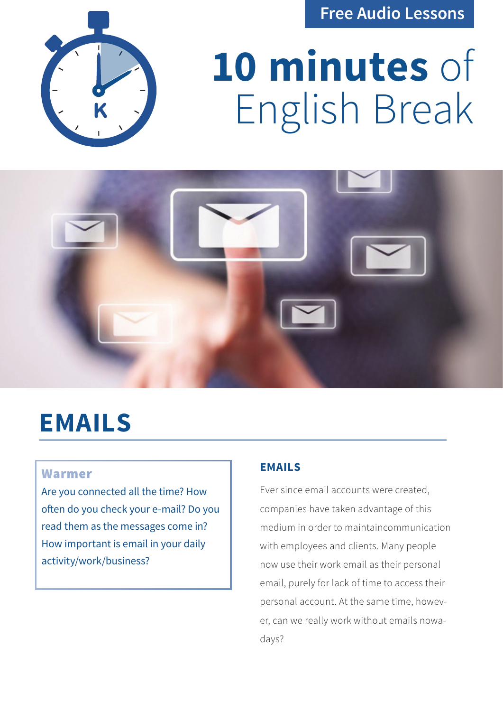**Free Audio Lessons**



# **10 minutes** of English Break



# **EMAILS**

# Warmer

Are you connected all the time? How often do you check your e-mail? Do you read them as the messages come in? How important is email in your daily activity/work/business?

# **EMAILS**

Ever since email accounts were created, companies have taken advantage of this medium in order to maintaincommunication with employees and clients. Many people now use their work email as their personal email, purely for lack of time to access their personal account. At the same time, however, can we really work without emails nowadays?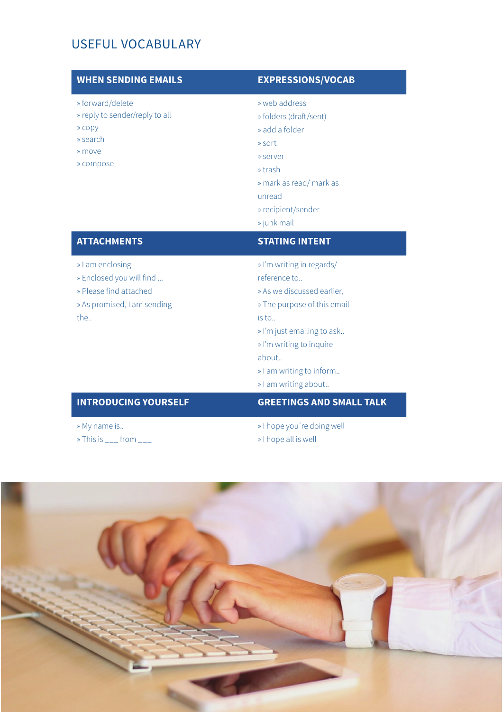# USEFUL VOCABULARY

### **WHEN SENDING EMAILS EXPRESSIONS/VOCAB**

- » forward/delete
- » reply to sender/reply to all
- » copy
- » search
- » move
- » compose

- » web address
- » folders (draft/sent)
- » add a folder
- » sort
- » server
- » trash
- » mark as read/ mark as

unread

- » recipient/sender
- » junk mail

### **ATTACHMENTS STATING INTENT**

- » I am enclosing
- » Enclosed you will find ...
- » Please find attached
- » As promised, I am sending the..

- » I'm writing in regards/
- reference to..
- » As we discussed earlier,
- » The purpose of this email

is to..

- » I'm just emailing to ask..
- » I'm writing to inquire

about..

- » I am writing to inform..
- » I am writing about..

# **INTRODUCING YOURSELF GREETINGS AND SMALL TALK**

- » My name is..
- $\ast$  This is  $\frac{1}{1}$  from  $\frac{1}{1}$
- » I hope you´re doing well
- » I hope all is well